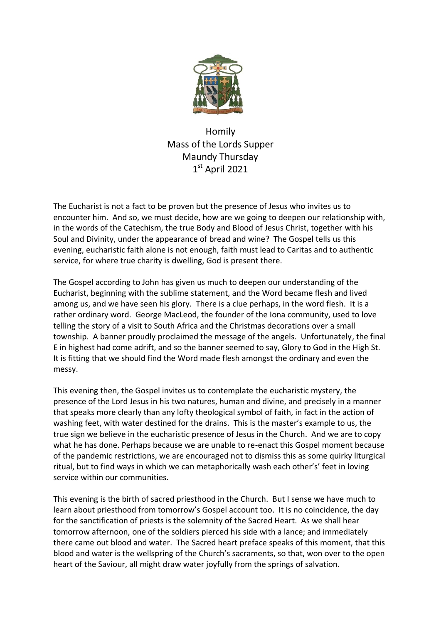

Homily Mass of the Lords Supper Maundy Thursday 1 st April 2021

The Eucharist is not a fact to be proven but the presence of Jesus who invites us to encounter him. And so, we must decide, how are we going to deepen our relationship with, in the words of the Catechism, the true Body and Blood of Jesus Christ, together with his Soul and Divinity, under the appearance of bread and wine? The Gospel tells us this evening, eucharistic faith alone is not enough, faith must lead to Caritas and to authentic service, for where true charity is dwelling, God is present there.

The Gospel according to John has given us much to deepen our understanding of the Eucharist, beginning with the sublime statement, and the Word became flesh and lived among us, and we have seen his glory. There is a clue perhaps, in the word flesh. It is a rather ordinary word. George MacLeod, the founder of the Iona community, used to love telling the story of a visit to South Africa and the Christmas decorations over a small township. A banner proudly proclaimed the message of the angels. Unfortunately, the final E in highest had come adrift, and so the banner seemed to say, Glory to God in the High St. It is fitting that we should find the Word made flesh amongst the ordinary and even the messy.

This evening then, the Gospel invites us to contemplate the eucharistic mystery, the presence of the Lord Jesus in his two natures, human and divine, and precisely in a manner that speaks more clearly than any lofty theological symbol of faith, in fact in the action of washing feet, with water destined for the drains. This is the master's example to us, the true sign we believe in the eucharistic presence of Jesus in the Church. And we are to copy what he has done. Perhaps because we are unable to re-enact this Gospel moment because of the pandemic restrictions, we are encouraged not to dismiss this as some quirky liturgical ritual, but to find ways in which we can metaphorically wash each other's' feet in loving service within our communities.

This evening is the birth of sacred priesthood in the Church. But I sense we have much to learn about priesthood from tomorrow's Gospel account too. It is no coincidence, the day for the sanctification of priests is the solemnity of the Sacred Heart. As we shall hear tomorrow afternoon, one of the soldiers pierced his side with a lance; and immediately there came out blood and water. The Sacred heart preface speaks of this moment, that this blood and water is the wellspring of the Church's sacraments, so that, won over to the open heart of the Saviour, all might draw water joyfully from the springs of salvation.